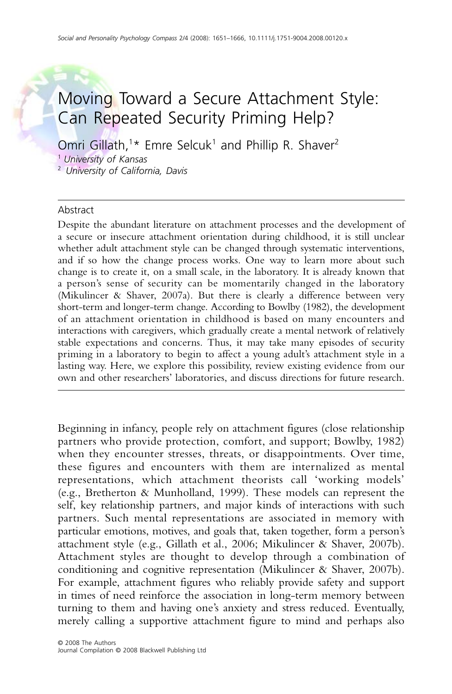# Moving Toward a Secure Attachment Style: Can Repeated Security Priming Help?

Omri Gillath,<sup>1\*</sup> Emre Selcuk<sup>1</sup> and Phillip R. Shaver<sup>2</sup> <sup>1</sup> *University of Kansas*

<sup>2</sup> *University of California, Davis*

#### Abstract

Despite the abundant literature on attachment processes and the development of a secure or insecure attachment orientation during childhood, it is still unclear whether adult attachment style can be changed through systematic interventions, and if so how the change process works. One way to learn more about such change is to create it, on a small scale, in the laboratory. It is already known that a person's sense of security can be momentarily changed in the laboratory (Mikulincer & Shaver, 2007a). But there is clearly a difference between very short-term and longer-term change. According to Bowlby (1982), the development of an attachment orientation in childhood is based on many encounters and interactions with caregivers, which gradually create a mental network of relatively stable expectations and concerns. Thus, it may take many episodes of security priming in a laboratory to begin to affect a young adult's attachment style in a lasting way. Here, we explore this possibility, review existing evidence from our own and other researchers' laboratories, and discuss directions for future research.

Beginning in infancy, people rely on attachment figures (close relationship partners who provide protection, comfort, and support; Bowlby, 1982) when they encounter stresses, threats, or disappointments. Over time, these figures and encounters with them are internalized as mental representations, which attachment theorists call 'working models' (e.g., Bretherton & Munholland, 1999). These models can represent the self, key relationship partners, and major kinds of interactions with such partners. Such mental representations are associated in memory with particular emotions, motives, and goals that, taken together, form a person's attachment style (e.g., Gillath et al., 2006; Mikulincer & Shaver, 2007b). Attachment styles are thought to develop through a combination of conditioning and cognitive representation (Mikulincer & Shaver, 2007b). For example, attachment figures who reliably provide safety and support in times of need reinforce the association in long-term memory between turning to them and having one's anxiety and stress reduced. Eventually, merely calling a supportive attachment figure to mind and perhaps also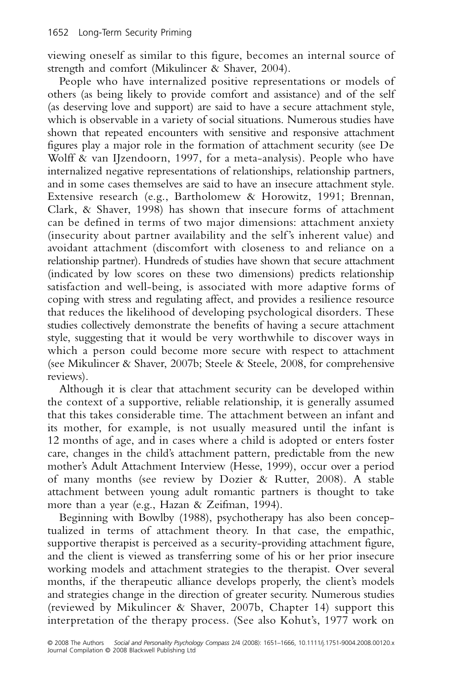viewing oneself as similar to this figure, becomes an internal source of strength and comfort (Mikulincer & Shaver, 2004).

People who have internalized positive representations or models of others (as being likely to provide comfort and assistance) and of the self (as deserving love and support) are said to have a secure attachment style, which is observable in a variety of social situations. Numerous studies have shown that repeated encounters with sensitive and responsive attachment figures play a major role in the formation of attachment security (see De Wolff & van IJzendoorn, 1997, for a meta-analysis). People who have internalized negative representations of relationships, relationship partners, and in some cases themselves are said to have an insecure attachment style. Extensive research (e.g., Bartholomew & Horowitz, 1991; Brennan, Clark, & Shaver, 1998) has shown that insecure forms of attachment can be defined in terms of two major dimensions: attachment anxiety (insecurity about partner availability and the self 's inherent value) and avoidant attachment (discomfort with closeness to and reliance on a relationship partner). Hundreds of studies have shown that secure attachment (indicated by low scores on these two dimensions) predicts relationship satisfaction and well-being, is associated with more adaptive forms of coping with stress and regulating affect, and provides a resilience resource that reduces the likelihood of developing psychological disorders. These studies collectively demonstrate the benefits of having a secure attachment style, suggesting that it would be very worthwhile to discover ways in which a person could become more secure with respect to attachment (see Mikulincer & Shaver, 2007b; Steele & Steele, 2008, for comprehensive reviews).

Although it is clear that attachment security can be developed within the context of a supportive, reliable relationship, it is generally assumed that this takes considerable time. The attachment between an infant and its mother, for example, is not usually measured until the infant is 12 months of age, and in cases where a child is adopted or enters foster care, changes in the child's attachment pattern, predictable from the new mother's Adult Attachment Interview (Hesse, 1999), occur over a period of many months (see review by Dozier & Rutter, 2008). A stable attachment between young adult romantic partners is thought to take more than a year (e.g., Hazan & Zeifman, 1994).

Beginning with Bowlby (1988), psychotherapy has also been conceptualized in terms of attachment theory. In that case, the empathic, supportive therapist is perceived as a security-providing attachment figure, and the client is viewed as transferring some of his or her prior insecure working models and attachment strategies to the therapist. Over several months, if the therapeutic alliance develops properly, the client's models and strategies change in the direction of greater security. Numerous studies (reviewed by Mikulincer & Shaver, 2007b, Chapter 14) support this interpretation of the therapy process. (See also Kohut's, 1977 work on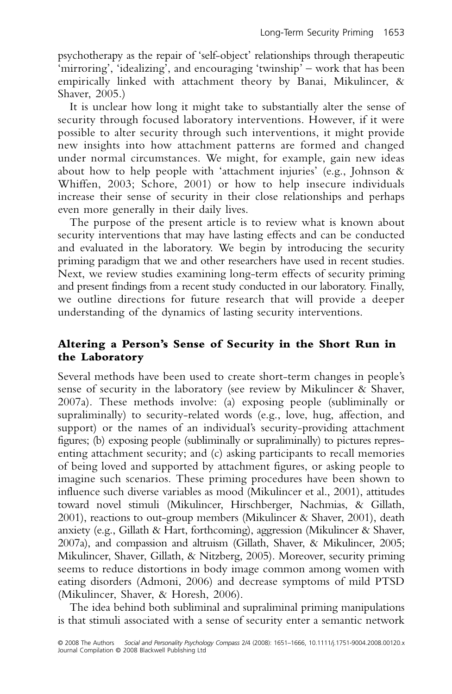psychotherapy as the repair of 'self-object' relationships through therapeutic 'mirroring', 'idealizing', and encouraging 'twinship' - work that has been empirically linked with attachment theory by Banai, Mikulincer, & Shaver, 2005.)

It is unclear how long it might take to substantially alter the sense of security through focused laboratory interventions. However, if it were possible to alter security through such interventions, it might provide new insights into how attachment patterns are formed and changed under normal circumstances. We might, for example, gain new ideas about how to help people with 'attachment injuries' (e.g., Johnson & Whiffen, 2003; Schore, 2001) or how to help insecure individuals increase their sense of security in their close relationships and perhaps even more generally in their daily lives.

The purpose of the present article is to review what is known about security interventions that may have lasting effects and can be conducted and evaluated in the laboratory. We begin by introducing the security priming paradigm that we and other researchers have used in recent studies. Next, we review studies examining long-term effects of security priming and present findings from a recent study conducted in our laboratory. Finally, we outline directions for future research that will provide a deeper understanding of the dynamics of lasting security interventions.

## **Altering a Person's Sense of Security in the Short Run in the Laboratory**

Several methods have been used to create short-term changes in people's sense of security in the laboratory (see review by Mikulincer & Shaver, 2007a). These methods involve: (a) exposing people (subliminally or supraliminally) to security-related words (e.g., love, hug, affection, and support) or the names of an individual's security-providing attachment figures; (b) exposing people (subliminally or supraliminally) to pictures representing attachment security; and (c) asking participants to recall memories of being loved and supported by attachment figures, or asking people to imagine such scenarios. These priming procedures have been shown to influence such diverse variables as mood (Mikulincer et al., 2001), attitudes toward novel stimuli (Mikulincer, Hirschberger, Nachmias, & Gillath, 2001), reactions to out-group members (Mikulincer & Shaver, 2001), death anxiety (e.g., Gillath & Hart, forthcoming), aggression (Mikulincer & Shaver, 2007a), and compassion and altruism (Gillath, Shaver, & Mikulincer, 2005; Mikulincer, Shaver, Gillath, & Nitzberg, 2005). Moreover, security priming seems to reduce distortions in body image common among women with eating disorders (Admoni, 2006) and decrease symptoms of mild PTSD (Mikulincer, Shaver, & Horesh, 2006).

The idea behind both subliminal and supraliminal priming manipulations is that stimuli associated with a sense of security enter a semantic network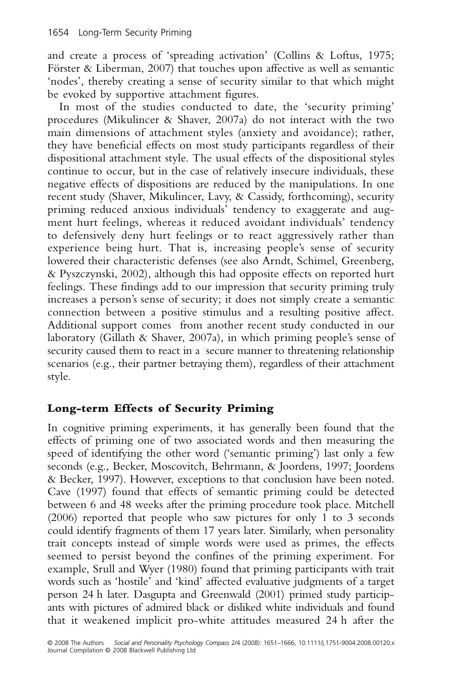and create a process of 'spreading activation' (Collins & Loftus, 1975; Förster & Liberman, 2007) that touches upon affective as well as semantic 'nodes', thereby creating a sense of security similar to that which might be evoked by supportive attachment figures.

In most of the studies conducted to date, the 'security priming' procedures (Mikulincer & Shaver, 2007a) do not interact with the two main dimensions of attachment styles (anxiety and avoidance); rather, they have beneficial effects on most study participants regardless of their dispositional attachment style. The usual effects of the dispositional styles continue to occur, but in the case of relatively insecure individuals, these negative effects of dispositions are reduced by the manipulations. In one recent study (Shaver, Mikulincer, Lavy, & Cassidy, forthcoming), security priming reduced anxious individuals' tendency to exaggerate and augment hurt feelings, whereas it reduced avoidant individuals' tendency to defensively deny hurt feelings or to react aggressively rather than experience being hurt. That is, increasing people's sense of security lowered their characteristic defenses (see also Arndt, Schimel, Greenberg, & Pyszczynski, 2002), although this had opposite effects on reported hurt feelings. These findings add to our impression that security priming truly increases a person's sense of security; it does not simply create a semantic connection between a positive stimulus and a resulting positive affect. Additional support comes from another recent study conducted in our laboratory (Gillath & Shaver, 2007a), in which priming people's sense of security caused them to react in a secure manner to threatening relationship scenarios (e.g., their partner betraying them), regardless of their attachment style.

## **Long-term Effects of Security Priming**

In cognitive priming experiments, it has generally been found that the effects of priming one of two associated words and then measuring the speed of identifying the other word ('semantic priming') last only a few seconds (e.g., Becker, Moscovitch, Behrmann, & Joordens, 1997; Joordens & Becker, 1997). However, exceptions to that conclusion have been noted. Cave (1997) found that effects of semantic priming could be detected between 6 and 48 weeks after the priming procedure took place. Mitchell (2006) reported that people who saw pictures for only 1 to 3 seconds could identify fragments of them 17 years later. Similarly, when personality trait concepts instead of simple words were used as primes, the effects seemed to persist beyond the confines of the priming experiment. For example, Srull and Wyer (1980) found that priming participants with trait words such as 'hostile' and 'kind' affected evaluative judgments of a target person 24 h later. Dasgupta and Greenwald (2001) primed study participants with pictures of admired black or disliked white individuals and found that it weakened implicit pro-white attitudes measured 24 h after the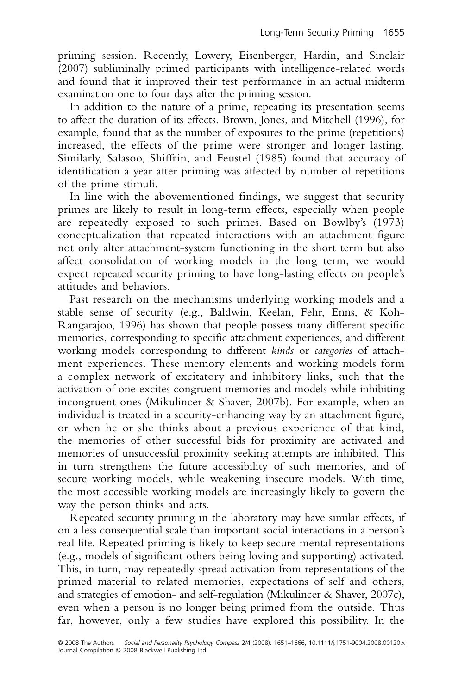priming session. Recently, Lowery, Eisenberger, Hardin, and Sinclair (2007) subliminally primed participants with intelligence-related words and found that it improved their test performance in an actual midterm examination one to four days after the priming session.

In addition to the nature of a prime, repeating its presentation seems to affect the duration of its effects. Brown, Jones, and Mitchell (1996), for example, found that as the number of exposures to the prime (repetitions) increased, the effects of the prime were stronger and longer lasting. Similarly, Salasoo, Shiffrin, and Feustel (1985) found that accuracy of identification a year after priming was affected by number of repetitions of the prime stimuli.

In line with the abovementioned findings, we suggest that security primes are likely to result in long-term effects, especially when people are repeatedly exposed to such primes. Based on Bowlby's (1973) conceptualization that repeated interactions with an attachment figure not only alter attachment-system functioning in the short term but also affect consolidation of working models in the long term, we would expect repeated security priming to have long-lasting effects on people's attitudes and behaviors.

Past research on the mechanisms underlying working models and a stable sense of security (e.g., Baldwin, Keelan, Fehr, Enns, & Koh-Rangarajoo, 1996) has shown that people possess many different specific memories, corresponding to specific attachment experiences, and different working models corresponding to different *kinds* or *categories* of attachment experiences. These memory elements and working models form a complex network of excitatory and inhibitory links, such that the activation of one excites congruent memories and models while inhibiting incongruent ones (Mikulincer & Shaver, 2007b). For example, when an individual is treated in a security-enhancing way by an attachment figure, or when he or she thinks about a previous experience of that kind, the memories of other successful bids for proximity are activated and memories of unsuccessful proximity seeking attempts are inhibited. This in turn strengthens the future accessibility of such memories, and of secure working models, while weakening insecure models. With time, the most accessible working models are increasingly likely to govern the way the person thinks and acts.

Repeated security priming in the laboratory may have similar effects, if on a less consequential scale than important social interactions in a person's real life. Repeated priming is likely to keep secure mental representations (e.g., models of significant others being loving and supporting) activated. This, in turn, may repeatedly spread activation from representations of the primed material to related memories, expectations of self and others, and strategies of emotion- and self-regulation (Mikulincer & Shaver, 2007c), even when a person is no longer being primed from the outside. Thus far, however, only a few studies have explored this possibility. In the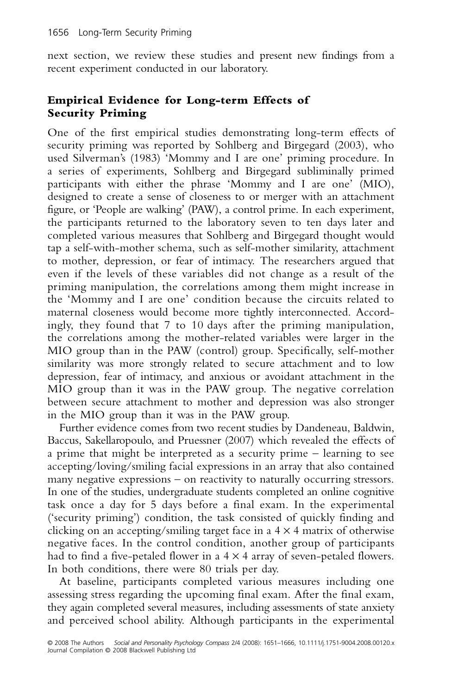next section, we review these studies and present new findings from a recent experiment conducted in our laboratory.

# **Empirical Evidence for Long-term Effects of Security Priming**

One of the first empirical studies demonstrating long-term effects of security priming was reported by Sohlberg and Birgegard (2003), who used Silverman's (1983) 'Mommy and I are one' priming procedure. In a series of experiments, Sohlberg and Birgegard subliminally primed participants with either the phrase 'Mommy and I are one' (MIO), designed to create a sense of closeness to or merger with an attachment figure, or 'People are walking' (PAW), a control prime. In each experiment, the participants returned to the laboratory seven to ten days later and completed various measures that Sohlberg and Birgegard thought would tap a self-with-mother schema, such as self-mother similarity, attachment to mother, depression, or fear of intimacy. The researchers argued that even if the levels of these variables did not change as a result of the priming manipulation, the correlations among them might increase in the 'Mommy and I are one' condition because the circuits related to maternal closeness would become more tightly interconnected. Accordingly, they found that 7 to 10 days after the priming manipulation, the correlations among the mother-related variables were larger in the MIO group than in the PAW (control) group. Specifically, self-mother similarity was more strongly related to secure attachment and to low depression, fear of intimacy, and anxious or avoidant attachment in the MIO group than it was in the PAW group. The negative correlation between secure attachment to mother and depression was also stronger in the MIO group than it was in the PAW group.

Further evidence comes from two recent studies by Dandeneau, Baldwin, Baccus, Sakellaropoulo, and Pruessner (2007) which revealed the effects of a prime that might be interpreted as a security prime – learning to see accepting/loving/smiling facial expressions in an array that also contained many negative expressions – on reactivity to naturally occurring stressors. In one of the studies, undergraduate students completed an online cognitive task once a day for 5 days before a final exam. In the experimental ('security priming') condition, the task consisted of quickly finding and clicking on an accepting/smiling target face in a  $4 \times 4$  matrix of otherwise negative faces. In the control condition, another group of participants had to find a five-petaled flower in a  $4 \times 4$  array of seven-petaled flowers. In both conditions, there were 80 trials per day.

At baseline, participants completed various measures including one assessing stress regarding the upcoming final exam. After the final exam, they again completed several measures, including assessments of state anxiety and perceived school ability. Although participants in the experimental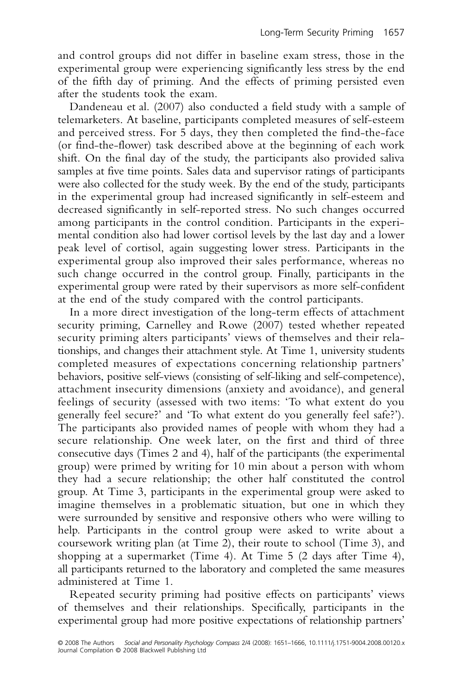and control groups did not differ in baseline exam stress, those in the experimental group were experiencing significantly less stress by the end of the fifth day of priming. And the effects of priming persisted even after the students took the exam.

Dandeneau et al. (2007) also conducted a field study with a sample of telemarketers. At baseline, participants completed measures of self-esteem and perceived stress. For 5 days, they then completed the find-the-face (or find-the-flower) task described above at the beginning of each work shift. On the final day of the study, the participants also provided saliva samples at five time points. Sales data and supervisor ratings of participants were also collected for the study week. By the end of the study, participants in the experimental group had increased significantly in self-esteem and decreased significantly in self-reported stress. No such changes occurred among participants in the control condition. Participants in the experimental condition also had lower cortisol levels by the last day and a lower peak level of cortisol, again suggesting lower stress. Participants in the experimental group also improved their sales performance, whereas no such change occurred in the control group. Finally, participants in the experimental group were rated by their supervisors as more self-confident at the end of the study compared with the control participants.

In a more direct investigation of the long-term effects of attachment security priming, Carnelley and Rowe (2007) tested whether repeated security priming alters participants' views of themselves and their relationships, and changes their attachment style. At Time 1, university students completed measures of expectations concerning relationship partners' behaviors, positive self-views (consisting of self-liking and self-competence), attachment insecurity dimensions (anxiety and avoidance), and general feelings of security (assessed with two items: 'To what extent do you generally feel secure?' and 'To what extent do you generally feel safe?'). The participants also provided names of people with whom they had a secure relationship. One week later, on the first and third of three consecutive days (Times 2 and 4), half of the participants (the experimental group) were primed by writing for 10 min about a person with whom they had a secure relationship; the other half constituted the control group. At Time 3, participants in the experimental group were asked to imagine themselves in a problematic situation, but one in which they were surrounded by sensitive and responsive others who were willing to help. Participants in the control group were asked to write about a coursework writing plan (at Time 2), their route to school (Time 3), and shopping at a supermarket (Time 4). At Time 5 (2 days after Time 4), all participants returned to the laboratory and completed the same measures administered at Time 1.

Repeated security priming had positive effects on participants' views of themselves and their relationships. Specifically, participants in the experimental group had more positive expectations of relationship partners'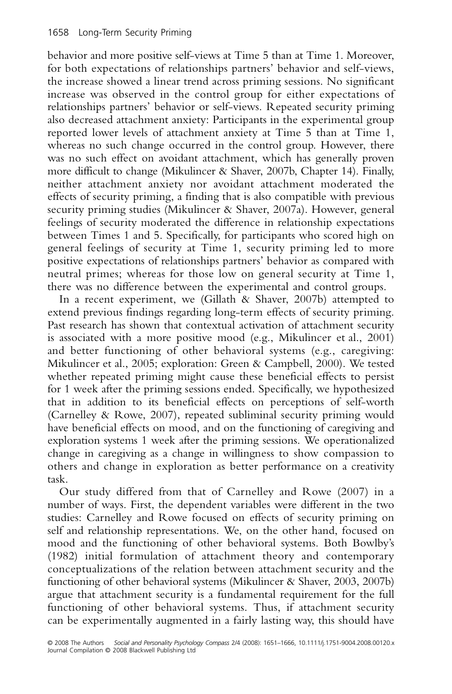behavior and more positive self-views at Time 5 than at Time 1. Moreover, for both expectations of relationships partners' behavior and self-views, the increase showed a linear trend across priming sessions. No significant increase was observed in the control group for either expectations of relationships partners' behavior or self-views. Repeated security priming also decreased attachment anxiety: Participants in the experimental group reported lower levels of attachment anxiety at Time 5 than at Time 1, whereas no such change occurred in the control group. However, there was no such effect on avoidant attachment, which has generally proven more difficult to change (Mikulincer & Shaver, 2007b, Chapter 14). Finally, neither attachment anxiety nor avoidant attachment moderated the effects of security priming, a finding that is also compatible with previous security priming studies (Mikulincer & Shaver, 2007a). However, general feelings of security moderated the difference in relationship expectations between Times 1 and 5. Specifically, for participants who scored high on general feelings of security at Time 1, security priming led to more positive expectations of relationships partners' behavior as compared with neutral primes; whereas for those low on general security at Time 1, there was no difference between the experimental and control groups.

In a recent experiment, we (Gillath & Shaver, 2007b) attempted to extend previous findings regarding long-term effects of security priming. Past research has shown that contextual activation of attachment security is associated with a more positive mood (e.g., Mikulincer et al., 2001) and better functioning of other behavioral systems (e.g., caregiving: Mikulincer et al., 2005; exploration: Green & Campbell, 2000). We tested whether repeated priming might cause these beneficial effects to persist for 1 week after the priming sessions ended. Specifically, we hypothesized that in addition to its beneficial effects on perceptions of self-worth (Carnelley & Rowe, 2007), repeated subliminal security priming would have beneficial effects on mood, and on the functioning of caregiving and exploration systems 1 week after the priming sessions. We operationalized change in caregiving as a change in willingness to show compassion to others and change in exploration as better performance on a creativity task.

Our study differed from that of Carnelley and Rowe (2007) in a number of ways. First, the dependent variables were different in the two studies: Carnelley and Rowe focused on effects of security priming on self and relationship representations. We, on the other hand, focused on mood and the functioning of other behavioral systems. Both Bowlby's (1982) initial formulation of attachment theory and contemporary conceptualizations of the relation between attachment security and the functioning of other behavioral systems (Mikulincer & Shaver, 2003, 2007b) argue that attachment security is a fundamental requirement for the full functioning of other behavioral systems. Thus, if attachment security can be experimentally augmented in a fairly lasting way, this should have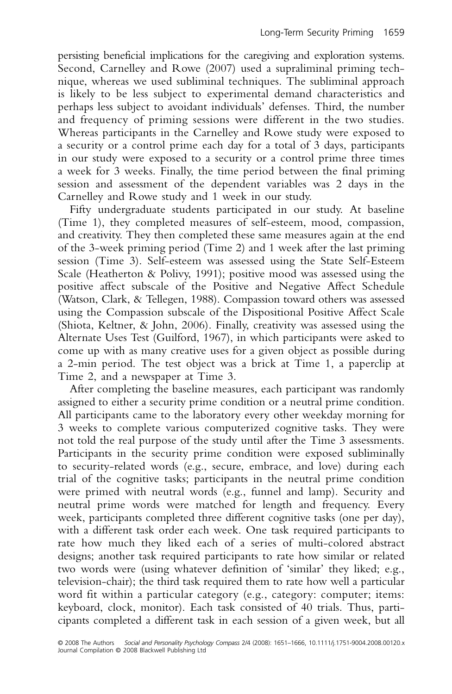persisting beneficial implications for the caregiving and exploration systems. Second, Carnelley and Rowe (2007) used a supraliminal priming technique, whereas we used subliminal techniques. The subliminal approach is likely to be less subject to experimental demand characteristics and perhaps less subject to avoidant individuals' defenses. Third, the number and frequency of priming sessions were different in the two studies. Whereas participants in the Carnelley and Rowe study were exposed to a security or a control prime each day for a total of 3 days, participants in our study were exposed to a security or a control prime three times a week for 3 weeks. Finally, the time period between the final priming session and assessment of the dependent variables was 2 days in the Carnelley and Rowe study and 1 week in our study.

Fifty undergraduate students participated in our study. At baseline (Time 1), they completed measures of self-esteem, mood, compassion, and creativity. They then completed these same measures again at the end of the 3-week priming period (Time 2) and 1 week after the last priming session (Time 3). Self-esteem was assessed using the State Self-Esteem Scale (Heatherton & Polivy, 1991); positive mood was assessed using the positive affect subscale of the Positive and Negative Affect Schedule (Watson, Clark, & Tellegen, 1988). Compassion toward others was assessed using the Compassion subscale of the Dispositional Positive Affect Scale (Shiota, Keltner, & John, 2006). Finally, creativity was assessed using the Alternate Uses Test (Guilford, 1967), in which participants were asked to come up with as many creative uses for a given object as possible during a 2-min period. The test object was a brick at Time 1, a paperclip at Time 2, and a newspaper at Time 3.

After completing the baseline measures, each participant was randomly assigned to either a security prime condition or a neutral prime condition. All participants came to the laboratory every other weekday morning for 3 weeks to complete various computerized cognitive tasks. They were not told the real purpose of the study until after the Time 3 assessments. Participants in the security prime condition were exposed subliminally to security-related words (e.g., secure, embrace, and love) during each trial of the cognitive tasks; participants in the neutral prime condition were primed with neutral words (e.g., funnel and lamp). Security and neutral prime words were matched for length and frequency. Every week, participants completed three different cognitive tasks (one per day), with a different task order each week. One task required participants to rate how much they liked each of a series of multi-colored abstract designs; another task required participants to rate how similar or related two words were (using whatever definition of 'similar' they liked; e.g., television-chair); the third task required them to rate how well a particular word fit within a particular category (e.g., category: computer; items: keyboard, clock, monitor). Each task consisted of 40 trials. Thus, participants completed a different task in each session of a given week, but all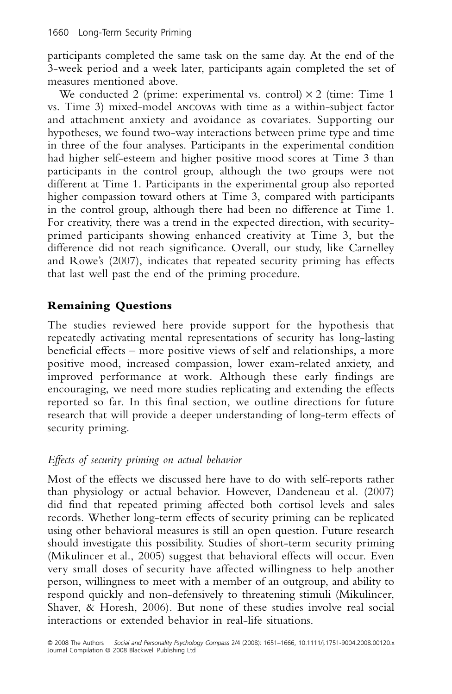participants completed the same task on the same day. At the end of the 3-week period and a week later, participants again completed the set of measures mentioned above.

We conducted 2 (prime: experimental vs. control)  $\times$  2 (time: Time 1) vs. Time 3) mixed-model ancovas with time as a within-subject factor and attachment anxiety and avoidance as covariates. Supporting our hypotheses, we found two-way interactions between prime type and time in three of the four analyses. Participants in the experimental condition had higher self-esteem and higher positive mood scores at Time 3 than participants in the control group, although the two groups were not different at Time 1. Participants in the experimental group also reported higher compassion toward others at Time 3, compared with participants in the control group, although there had been no difference at Time 1. For creativity, there was a trend in the expected direction, with securityprimed participants showing enhanced creativity at Time 3, but the difference did not reach significance. Overall, our study, like Carnelley and Rowe's (2007), indicates that repeated security priming has effects that last well past the end of the priming procedure.

# **Remaining Questions**

The studies reviewed here provide support for the hypothesis that repeatedly activating mental representations of security has long-lasting beneficial effects – more positive views of self and relationships, a more positive mood, increased compassion, lower exam-related anxiety, and improved performance at work. Although these early findings are encouraging, we need more studies replicating and extending the effects reported so far. In this final section, we outline directions for future research that will provide a deeper understanding of long-term effects of security priming.

## *Effects of security priming on actual behavior*

Most of the effects we discussed here have to do with self-reports rather than physiology or actual behavior. However, Dandeneau et al. (2007) did find that repeated priming affected both cortisol levels and sales records. Whether long-term effects of security priming can be replicated using other behavioral measures is still an open question. Future research should investigate this possibility. Studies of short-term security priming (Mikulincer et al., 2005) suggest that behavioral effects will occur. Even very small doses of security have affected willingness to help another person, willingness to meet with a member of an outgroup, and ability to respond quickly and non-defensively to threatening stimuli (Mikulincer, Shaver, & Horesh, 2006). But none of these studies involve real social interactions or extended behavior in real-life situations.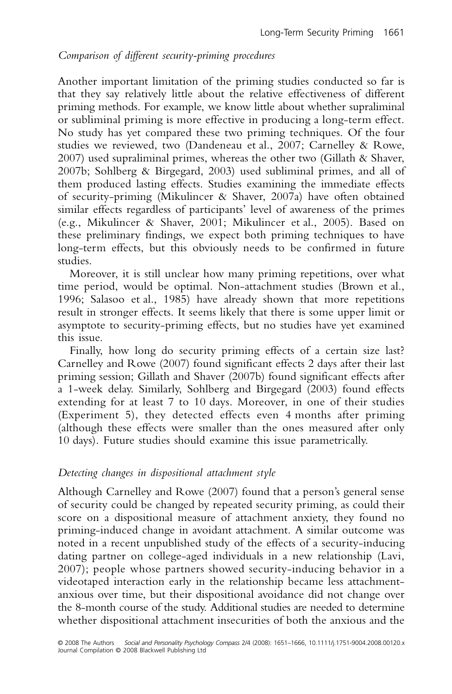#### *Comparison of different security-priming procedures*

Another important limitation of the priming studies conducted so far is that they say relatively little about the relative effectiveness of different priming methods. For example, we know little about whether supraliminal or subliminal priming is more effective in producing a long-term effect. No study has yet compared these two priming techniques. Of the four studies we reviewed, two (Dandeneau et al., 2007; Carnelley & Rowe, 2007) used supraliminal primes, whereas the other two (Gillath & Shaver, 2007b; Sohlberg & Birgegard, 2003) used subliminal primes, and all of them produced lasting effects. Studies examining the immediate effects of security-priming (Mikulincer & Shaver, 2007a) have often obtained similar effects regardless of participants' level of awareness of the primes (e.g., Mikulincer & Shaver, 2001; Mikulincer et al., 2005). Based on these preliminary findings, we expect both priming techniques to have long-term effects, but this obviously needs to be confirmed in future studies.

Moreover, it is still unclear how many priming repetitions, over what time period, would be optimal. Non-attachment studies (Brown et al., 1996; Salasoo et al., 1985) have already shown that more repetitions result in stronger effects. It seems likely that there is some upper limit or asymptote to security-priming effects, but no studies have yet examined this issue.

Finally, how long do security priming effects of a certain size last? Carnelley and Rowe (2007) found significant effects 2 days after their last priming session; Gillath and Shaver (2007b) found significant effects after a 1-week delay. Similarly, Sohlberg and Birgegard (2003) found effects extending for at least 7 to 10 days. Moreover, in one of their studies (Experiment 5), they detected effects even 4 months after priming (although these effects were smaller than the ones measured after only 10 days). Future studies should examine this issue parametrically.

#### *Detecting changes in dispositional attachment style*

Although Carnelley and Rowe (2007) found that a person's general sense of security could be changed by repeated security priming, as could their score on a dispositional measure of attachment anxiety, they found no priming-induced change in avoidant attachment. A similar outcome was noted in a recent unpublished study of the effects of a security-inducing dating partner on college-aged individuals in a new relationship (Lavi, 2007); people whose partners showed security-inducing behavior in a videotaped interaction early in the relationship became less attachmentanxious over time, but their dispositional avoidance did not change over the 8-month course of the study. Additional studies are needed to determine whether dispositional attachment insecurities of both the anxious and the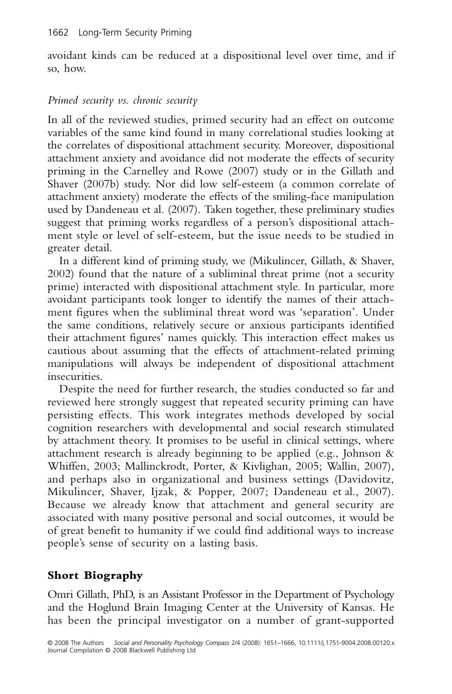avoidant kinds can be reduced at a dispositional level over time, and if so, how.

#### *Primed security vs. chronic security*

In all of the reviewed studies, primed security had an effect on outcome variables of the same kind found in many correlational studies looking at the correlates of dispositional attachment security. Moreover, dispositional attachment anxiety and avoidance did not moderate the effects of security priming in the Carnelley and Rowe (2007) study or in the Gillath and Shaver (2007b) study. Nor did low self-esteem (a common correlate of attachment anxiety) moderate the effects of the smiling-face manipulation used by Dandeneau et al. (2007). Taken together, these preliminary studies suggest that priming works regardless of a person's dispositional attachment style or level of self-esteem, but the issue needs to be studied in greater detail.

In a different kind of priming study, we (Mikulincer, Gillath, & Shaver, 2002) found that the nature of a subliminal threat prime (not a security prime) interacted with dispositional attachment style. In particular, more avoidant participants took longer to identify the names of their attachment figures when the subliminal threat word was 'separation'. Under the same conditions, relatively secure or anxious participants identified their attachment figures' names quickly. This interaction effect makes us cautious about assuming that the effects of attachment-related priming manipulations will always be independent of dispositional attachment insecurities.

Despite the need for further research, the studies conducted so far and reviewed here strongly suggest that repeated security priming can have persisting effects. This work integrates methods developed by social cognition researchers with developmental and social research stimulated by attachment theory. It promises to be useful in clinical settings, where attachment research is already beginning to be applied (e.g., Johnson & Whiffen, 2003; Mallinckrodt, Porter, & Kivlighan, 2005; Wallin, 2007), and perhaps also in organizational and business settings (Davidovitz, Mikulincer, Shaver, Ijzak, & Popper, 2007; Dandeneau et al., 2007). Because we already know that attachment and general security are associated with many positive personal and social outcomes, it would be of great benefit to humanity if we could find additional ways to increase people's sense of security on a lasting basis.

# **Short Biography**

Omri Gillath, PhD, is an Assistant Professor in the Department of Psychology and the Hoglund Brain Imaging Center at the University of Kansas. He has been the principal investigator on a number of grant-supported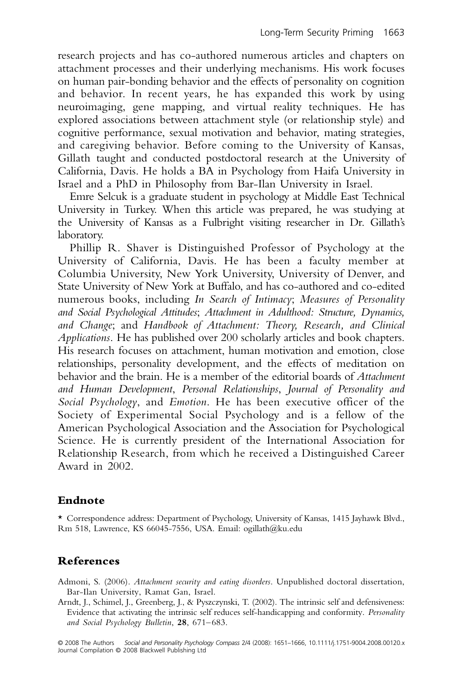research projects and has co-authored numerous articles and chapters on attachment processes and their underlying mechanisms. His work focuses on human pair-bonding behavior and the effects of personality on cognition and behavior. In recent years, he has expanded this work by using neuroimaging, gene mapping, and virtual reality techniques. He has explored associations between attachment style (or relationship style) and cognitive performance, sexual motivation and behavior, mating strategies, and caregiving behavior. Before coming to the University of Kansas, Gillath taught and conducted postdoctoral research at the University of California, Davis. He holds a BA in Psychology from Haifa University in Israel and a PhD in Philosophy from Bar-Ilan University in Israel.

Emre Selcuk is a graduate student in psychology at Middle East Technical University in Turkey. When this article was prepared, he was studying at the University of Kansas as a Fulbright visiting researcher in Dr. Gillath's laboratory.

Phillip R. Shaver is Distinguished Professor of Psychology at the University of California, Davis. He has been a faculty member at Columbia University, New York University, University of Denver, and State University of New York at Buffalo, and has co-authored and co-edited numerous books, including *In Search of Intimacy*; *Measures of Personality and Social Psychological Attitudes*; *Attachment in Adulthood: Structure, Dynamics, and Change*; and *Handbook of Attachment: Theory, Research, and Clinical Applications*. He has published over 200 scholarly articles and book chapters. His research focuses on attachment, human motivation and emotion, close relationships, personality development, and the effects of meditation on behavior and the brain. He is a member of the editorial boards of *Attachment and Human Development*, *Personal Relationships*, *Journal of Personality and Social Psychology*, and *Emotion*. He has been executive officer of the Society of Experimental Social Psychology and is a fellow of the American Psychological Association and the Association for Psychological Science. He is currently president of the International Association for Relationship Research, from which he received a Distinguished Career Award in 2002.

#### **Endnote**

\* Correspondence address: Department of Psychology, University of Kansas, 1415 Jayhawk Blvd., Rm 518, Lawrence, KS 66045-7556, USA. Email: ogillath@ku.edu

#### **References**

Admoni, S. (2006). *Attachment security and eating disorders*. Unpublished doctoral dissertation, Bar-Ilan University, Ramat Gan, Israel.

Arndt, J., Schimel, J., Greenberg, J., & Pyszczynski, T. (2002). The intrinsic self and defensiveness: Evidence that activating the intrinsic self reduces self-handicapping and conformity. *Personality and Social Psychology Bulletin*, **28**, 671–683.

© 2008 The Authors *Social and Personality Psychology Compass* 2/4 (2008): 1651–1666, 10.1111/j.1751-9004.2008.00120.x Journal Compilation © 2008 Blackwell Publishing Ltd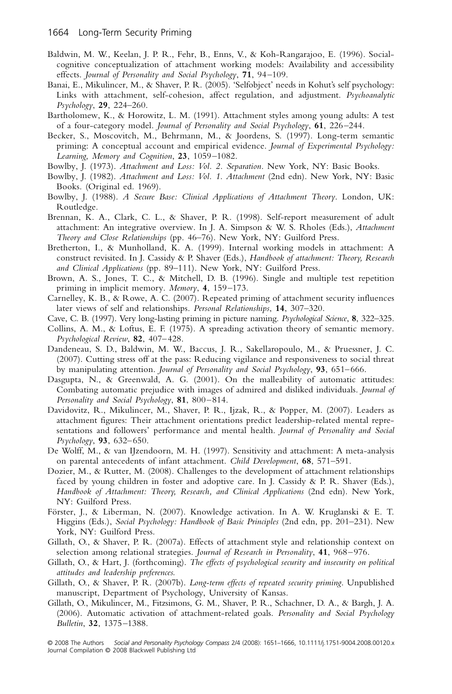- Baldwin, M. W., Keelan, J. P. R., Fehr, B., Enns, V., & Koh-Rangarajoo, E. (1996). Socialcognitive conceptualization of attachment working models: Availability and accessibility effects. *Journal of Personality and Social Psychology*, **71**, 94–109.
- Banai, E., Mikulincer, M., & Shaver, P. R. (2005). 'Selfobject' needs in Kohut's self psychology: Links with attachment, self-cohesion, affect regulation, and adjustment. *Psychoanalytic Psychology*, **29**, 224–260.
- Bartholomew, K., & Horowitz, L. M. (1991). Attachment styles among young adults: A test of a four-category model. *Journal of Personality and Social Psychology*, **61**, 226–244.
- Becker, S., Moscovitch, M., Behrmann, M., & Joordens, S. (1997). Long-term semantic priming: A conceptual account and empirical evidence. *Journal of Experimental Psychology: Learning, Memory and Cognition*, **23**, 1059–1082.
- Bowlby, J. (1973). *Attachment and Loss: Vol. 2. Separation*. New York, NY: Basic Books.
- Bowlby, J. (1982). *Attachment and Loss: Vol. 1. Attachment* (2nd edn). New York, NY: Basic Books. (Original ed. 1969).
- Bowlby, J. (1988). *A Secure Base: Clinical Applications of Attachment Theory*. London, UK: Routledge.
- Brennan, K. A., Clark, C. L., & Shaver, P. R. (1998). Self-report measurement of adult attachment: An integrative overview. In J. A. Simpson & W. S. Rholes (Eds.), *Attachment Theory and Close Relationships* (pp. 46–76). New York, NY: Guilford Press.
- Bretherton, I., & Munholland, K. A. (1999). Internal working models in attachment: A construct revisited. In J. Cassidy & P. Shaver (Eds.), *Handbook of attachment: Theory, Research and Clinical Applications* (pp. 89–111). New York, NY: Guilford Press.
- Brown, A. S., Jones, T. C., & Mitchell, D. B. (1996). Single and multiple test repetition priming in implicit memory. *Memory*, **4**, 159–173.
- Carnelley, K. B., & Rowe, A. C. (2007). Repeated priming of attachment security influences later views of self and relationships. *Personal Relationships*, **14**, 307–320.
- Cave, C. B. (1997). Very long-lasting priming in picture naming. *Psychological Science*, **8**, 322–325.
- Collins, A. M., & Loftus, E. F. (1975). A spreading activation theory of semantic memory. *Psychological Review*, **82**, 407–428.
- Dandeneau, S. D., Baldwin, M. W., Baccus, J. R., Sakellaropoulo, M., & Pruessner, J. C. (2007). Cutting stress off at the pass: Reducing vigilance and responsiveness to social threat by manipulating attention. *Journal of Personality and Social Psychology*, **93**, 651–666.
- Dasgupta, N., & Greenwald, A. G. (2001). On the malleability of automatic attitudes: Combating automatic prejudice with images of admired and disliked individuals. *Journal of Personality and Social Psychology*, **81**, 800–814.
- Davidovitz, R., Mikulincer, M., Shaver, P. R., Ijzak, R., & Popper, M. (2007). Leaders as attachment figures: Their attachment orientations predict leadership-related mental representations and followers' performance and mental health. *Journal of Personality and Social Psychology*, **93**, 632–650.
- De Wolff, M., & van IJzendoorn, M. H. (1997). Sensitivity and attachment: A meta-analysis on parental antecedents of infant attachment. *Child Development*, **68**, 571–591.
- Dozier, M., & Rutter, M. (2008). Challenges to the development of attachment relationships faced by young children in foster and adoptive care. In J. Cassidy & P. R. Shaver (Eds.), *Handbook of Attachment: Theory, Research, and Clinical Applications* (2nd edn). New York, NY: Guilford Press.
- Förster, J., & Liberman, N. (2007). Knowledge activation. In A. W. Kruglanski & E. T. Higgins (Eds.), *Social Psychology: Handbook of Basic Principles* (2nd edn, pp. 201–231). New York, NY: Guilford Press.
- Gillath, O., & Shaver, P. R. (2007a). Effects of attachment style and relationship context on selection among relational strategies. *Journal of Research in Personality*, **41**, 968–976.
- Gillath, O., & Hart, J. (forthcoming). *The effects of psychological security and insecurity on political attitudes and leadership preferences.*
- Gillath, O., & Shaver, P. R. (2007b). *Long-term effects of repeated security priming*. Unpublished manuscript, Department of Psychology, University of Kansas.
- Gillath, O., Mikulincer, M., Fitzsimons, G. M., Shaver, P. R., Schachner, D. A., & Bargh, J. A. (2006). Automatic activation of attachment-related goals. *Personality and Social Psychology Bulletin*, **32**, 1375–1388.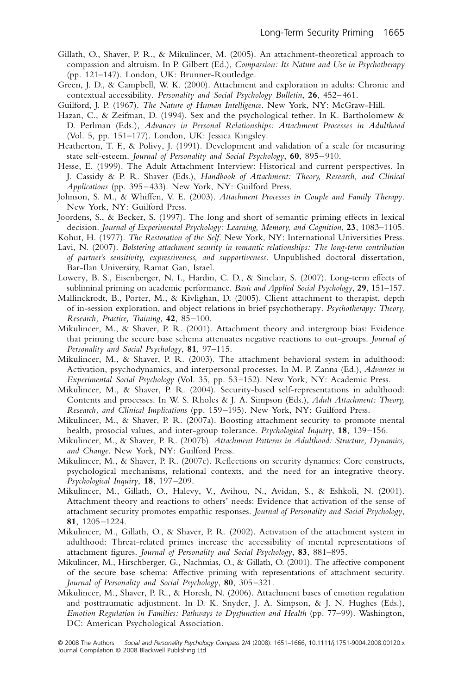- Gillath, O., Shaver, P. R., & Mikulincer, M. (2005). An attachment-theoretical approach to compassion and altruism. In P. Gilbert (Ed.), *Compassion: Its Nature and Use in Psychotherapy* (pp. 121–147). London, UK: Brunner-Routledge.
- Green, J. D., & Campbell, W. K. (2000). Attachment and exploration in adults: Chronic and contextual accessibility. *Personality and Social Psychology Bulletin*, **26**, 452–461.
- Guilford, J. P. (1967). *The Nature of Human Intelligence*. New York, NY: McGraw-Hill.
- Hazan, C., & Zeifman, D. (1994). Sex and the psychological tether. In K. Bartholomew & D. Perlman (Eds.), *Advances in Personal Relationships: Attachment Processes in Adulthood* (Vol. 5, pp. 151–177). London, UK: Jessica Kingsley.
- Heatherton, T. F., & Polivy, J. (1991). Development and validation of a scale for measuring state self-esteem. *Journal of Personality and Social Psychology*, **60**, 895–910.
- Hesse, E. (1999). The Adult Attachment Interview: Historical and current perspectives. In J. Cassidy & P. R. Shaver (Eds.), *Handbook of Attachment: Theory, Research, and Clinical Applications* (pp. 395–433). New York, NY: Guilford Press.
- Johnson, S. M., & Whiffen, V. E. (2003). *Attachment Processes in Couple and Family Therapy*. New York, NY: Guilford Press.
- Joordens, S., & Becker, S. (1997). The long and short of semantic priming effects in lexical decision. *Journal of Experimental Psychology: Learning, Memory, and Cognition*, **23**, 1083–1105.
- Kohut, H. (1977). *The Restoration of the Self*. New York, NY: International Universities Press.
- Lavi, N. (2007). *Bolstering attachment security in romantic relationships: The long-term contribution of partner's sensitivity, expressiveness, and supportiveness*. Unpublished doctoral dissertation, Bar-Ilan University, Ramat Gan, Israel.
- Lowery, B. S., Eisenberger, N. I., Hardin, C. D., & Sinclair, S. (2007). Long-term effects of subliminal priming on academic performance. *Basic and Applied Social Psychology*, **29**, 151–157.
- Mallinckrodt, B., Porter, M., & Kivlighan, D. (2005). Client attachment to therapist, depth of in-session exploration, and object relations in brief psychotherapy. *Psychotherapy: Theory, Research, Practice, Training*, **42**, 85–100.
- Mikulincer, M., & Shaver, P. R. (2001). Attachment theory and intergroup bias: Evidence that priming the secure base schema attenuates negative reactions to out-groups. *Journal of Personality and Social Psychology*, **81**, 97–115.
- Mikulincer, M., & Shaver, P. R. (2003). The attachment behavioral system in adulthood: Activation, psychodynamics, and interpersonal processes. In M. P. Zanna (Ed.), *Advances in Experimental Social Psychology* (Vol. 35, pp. 53–152). New York, NY: Academic Press.
- Mikulincer, M., & Shaver, P. R. (2004). Security-based self-representations in adulthood: Contents and processes. In W. S. Rholes & J. A. Simpson (Eds.), *Adult Attachment: Theory, Research, and Clinical Implications* (pp. 159–195). New York, NY: Guilford Press.
- Mikulincer, M., & Shaver, P. R. (2007a). Boosting attachment security to promote mental health, prosocial values, and inter-group tolerance. *Psychological Inquiry*, **18**, 139–156.
- Mikulincer, M., & Shaver, P. R. (2007b). *Attachment Patterns in Adulthood: Structure, Dynamics, and Change*. New York, NY: Guilford Press.
- Mikulincer, M., & Shaver, P. R. (2007c). Reflections on security dynamics: Core constructs, psychological mechanisms, relational contexts, and the need for an integrative theory. *Psychological Inquiry*, **18**, 197–209.
- Mikulincer, M., Gillath, O., Halevy, V., Avihou, N., Avidan, S., & Eshkoli, N. (2001). Attachment theory and reactions to others' needs: Evidence that activation of the sense of attachment security promotes empathic responses. *Journal of Personality and Social Psychology*, **81**, 1205–1224.
- Mikulincer, M., Gillath, O., & Shaver, P. R. (2002). Activation of the attachment system in adulthood: Threat-related primes increase the accessibility of mental representations of attachment figures. *Journal of Personality and Social Psychology*, **83**, 881–895.
- Mikulincer, M., Hirschberger, G., Nachmias, O., & Gillath, O. (2001). The affective component of the secure base schema: Affective priming with representations of attachment security. *Journal of Personality and Social Psychology*, **80**, 305–321.
- Mikulincer, M., Shaver, P. R., & Horesh, N. (2006). Attachment bases of emotion regulation and posttraumatic adjustment. In D. K. Snyder, J. A. Simpson, & J. N. Hughes (Eds.), *Emotion Regulation in Families: Pathways to Dysfunction and Health* (pp. 77–99). Washington, DC: American Psychological Association.

© 2008 The Authors *Social and Personality Psychology Compass* 2/4 (2008): 1651–1666, 10.1111/j.1751-9004.2008.00120.x Journal Compilation © 2008 Blackwell Publishing Ltd